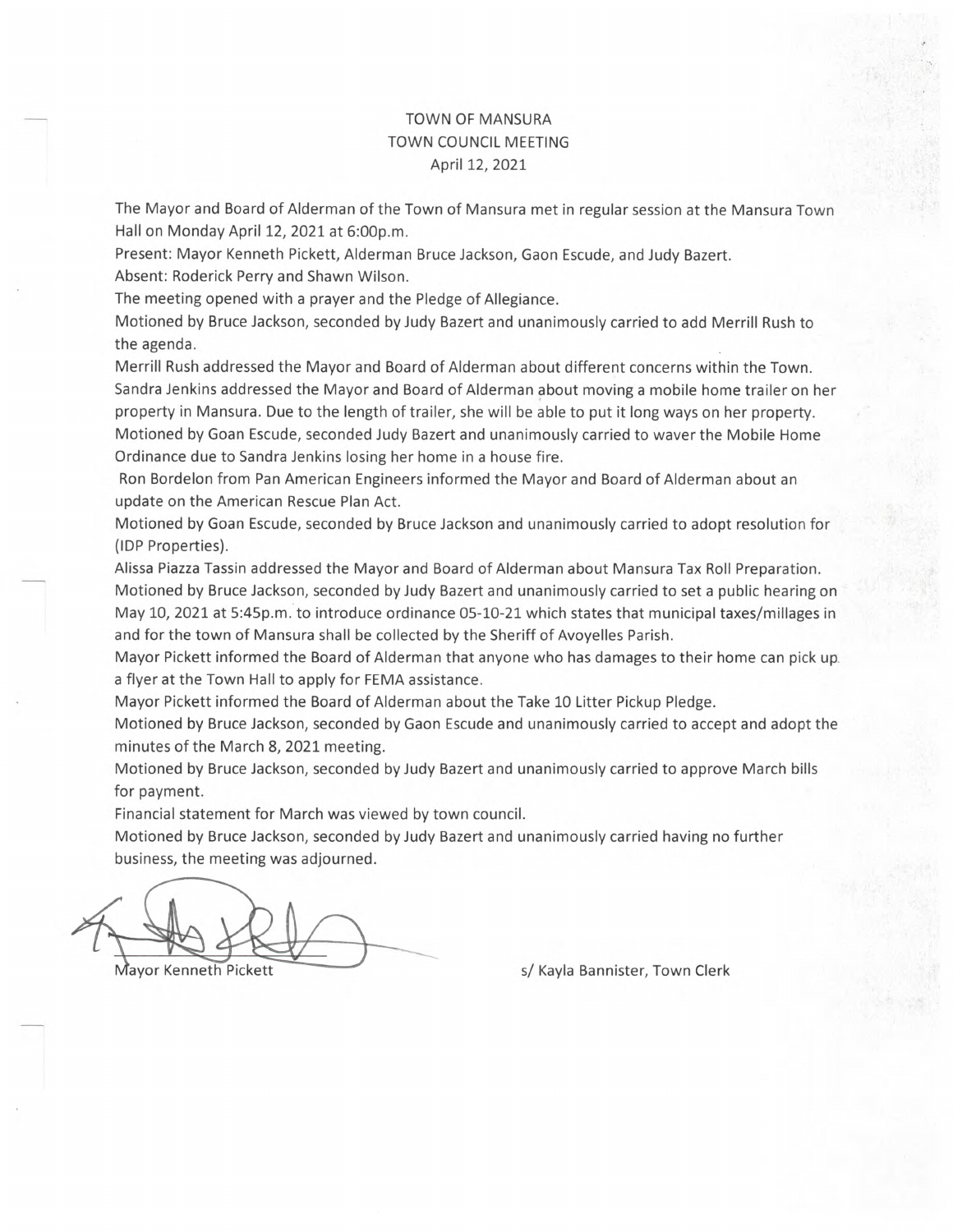## TOWN OF MANSURA TOWN COUNCIL MEETING April 12, 2021

The Mayor and Board of Alderman of the Town of Mansura met in regular session at the Mansura Town Hall on Monday April 12, 2021 at 6:00p.m.

Present: Mayor Kenneth Pickett, Alderman Bruce Jackson, Gaon Escude, and Judy Bazert. Absent: Roderick Perry and Shawn Wilson.

The meeting opened with a prayer and the Pledge of Allegiance.

Motioned by Bruce Jackson, seconded by Judy Bazert and unanimously carried to add Merrill Rush to the agenda.

Merrill Rush addressed the Mayor and Board of Alderman about different concerns within the Town. Sandra Jenkins addressed the Mayor and Board of Alderman about moving a mobile home trailer on her property in Mansura. Due to the length of trailer, she will be able to put it long ways on her property. Motioned by Goan Escude, seconded Judy Bazert and unanimously carried to waver the Mobile Home Ordinance due to Sandra Jenkins losing her home in a house fire.

Ron Bordelon from Pan American Engineers informed the Mayor and Board of Alderman about an update on the American Rescue Plan Act.

Motioned by Goan Escude, seconded by Bruce Jackson and unanimously carried to adopt resolution for (IDP Properties).

Alissa Piazza Tassin addressed the Mayor and Board of Alderman about Mansura Tax Roll Preparation. Motioned by Bruce Jackson, seconded by Judy Bazert and unanimously carried to set a public hearing on May 10, 2021 at 5:45p.m. to introduce ordinance 05-10-21 which states that municipal taxes/millages in and for the town of Mansura shall be collected by the Sheriff of Avoyelles Parish.

Mayor Pickett informed the Board of Alderman that anyone who has damages to their home can pick up. a flyer at the Town Hall to apply for FEMA assistance.

Mayor Pickett informed the Board of Alderman about the Take 10 Litter Pickup Pledge.

Motioned by Bruce Jackson, seconded by Gaon Escude and unanimously carried to accept and adopt the minutes of the March 8, 2021 meeting.

Motioned by Bruce Jackson, seconded by Judy Bazert and unanimously carried to approve March bills for payment.

Financial statement for March was viewed by town council.

Motioned by Bruce Jackson, seconded by Judy Bazert and unanimously carried having no further business, the meeting was adjourned.

Mayor Kenneth Pickett **s/ Kayla Bannister, Town Clerk** s/ Kayla Bannister, Town Clerk